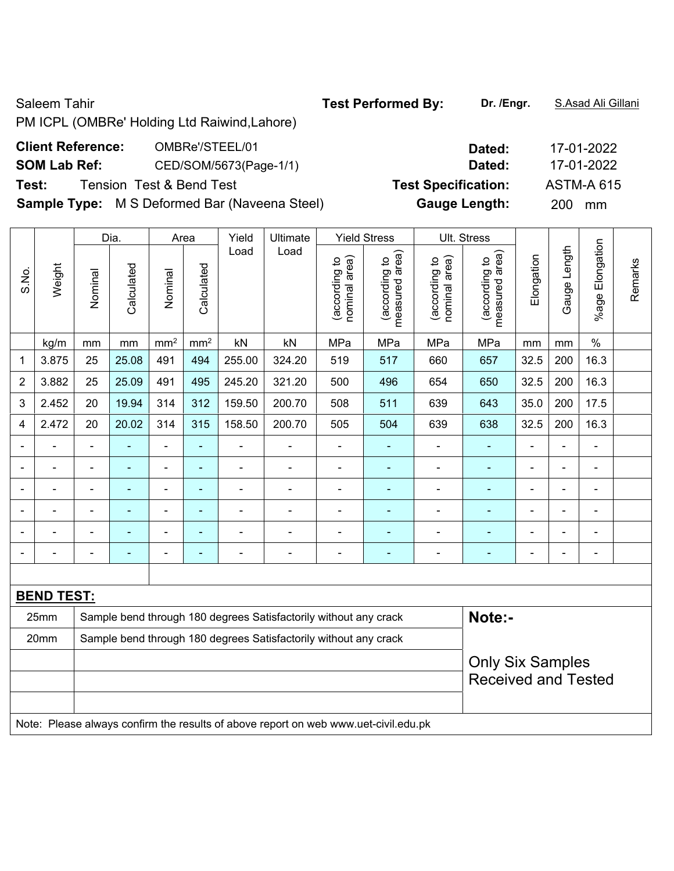Saleem Tahir **Test Performed By:** Dr. /Engr. **S.Asad Ali Gillani** Saleem Tahir PM ICPL (OMBRe' Holding Ltd Raiwind,Lahore) **Client Reference:** OMBRe'/STEEL/01 **Dated:** 17-01-2022 **SOM Lab Ref:** CED/SOM/5673(Page-1/1) **Dated:** 17-01-2022 **Test:** Tension Test & Bend Test **Test Specification:** ASTM-A 615 **Sample Type:** M S Deformed Bar (Naveena Steel) **Gauge Length:** 200 mm Dia. Area Yield Ultimate Yield Stress Ult. Stress  $\mathbb{R}$  $\mathbf{I}$  $\mathbf{I}$  $\mathbf{I}$ 

|       |                   |                            | Dia.       |                 | Area            | Yield          | Ultimate                                                                            |                                | Yield Stress                    |                                | UII. Stress                        |            |              |                 |         |
|-------|-------------------|----------------------------|------------|-----------------|-----------------|----------------|-------------------------------------------------------------------------------------|--------------------------------|---------------------------------|--------------------------------|------------------------------------|------------|--------------|-----------------|---------|
| S.No. | Weight            | Nominal                    | Calculated | Nominal         | Calculated      | Load           | Load                                                                                | nominal area)<br>(according to | measured area)<br>(according to | (according to<br>nominal area) | area)<br>(according to<br>measured | Elongation | Gauge Length | %age Elongation | Remarks |
|       | kg/m              | mm                         | mm         | mm <sup>2</sup> | mm <sup>2</sup> | kN             | kN                                                                                  | MPa                            | MPa                             | MPa                            | MPa                                | mm         | mm           | $\%$            |         |
| 1     | 3.875             | 25                         | 25.08      | 491             | 494             | 255.00         | 324.20                                                                              | 519                            | 517                             | 660                            | 657                                | 32.5       | 200          | 16.3            |         |
| 2     | 3.882             | 25                         | 25.09      | 491             | 495             | 245.20         | 321.20                                                                              | 500                            | 496                             | 654                            | 650                                | 32.5       | 200          | 16.3            |         |
| 3     | 2.452             | 20                         | 19.94      | 314             | 312             | 159.50         | 200.70                                                                              | 508                            | 511                             | 639                            | 643                                | 35.0       | 200          | 17.5            |         |
| 4     | 2.472             | 20                         | 20.02      | 314             | 315             | 158.50         | 200.70                                                                              | 505                            | 504                             | 639                            | 638                                | 32.5       | 200          | 16.3            |         |
|       |                   |                            |            | $\blacksquare$  | L.              | ä,             |                                                                                     | $\blacksquare$                 | ٠                               | $\blacksquare$                 |                                    |            | ä,           | $\blacksquare$  |         |
| ÷     | $\blacksquare$    | ä,                         | ÷.         | $\blacksquare$  | $\blacksquare$  | $\overline{a}$ | ÷,                                                                                  | $\blacksquare$                 | ä,                              | $\blacksquare$                 | $\blacksquare$                     | ä,         | L,           | $\blacksquare$  |         |
|       |                   | $\blacksquare$             | ÷          | ä,              | ä,              | $\blacksquare$ | $\blacksquare$                                                                      | $\blacksquare$                 | ٠                               | ÷                              | $\blacksquare$                     | ä,         | ä,           | $\blacksquare$  |         |
|       |                   |                            |            | ÷               | ۰               |                | $\blacksquare$                                                                      | $\blacksquare$                 |                                 | ÷                              | $\blacksquare$                     |            | Ē,           | $\blacksquare$  |         |
|       |                   |                            |            |                 | $\blacksquare$  |                |                                                                                     |                                |                                 |                                | ÷                                  |            |              |                 |         |
|       |                   |                            |            |                 |                 |                | ۰                                                                                   |                                | $\overline{\phantom{0}}$        | ۰                              | ٠                                  |            |              |                 |         |
|       |                   |                            |            |                 |                 |                |                                                                                     |                                |                                 |                                |                                    |            |              |                 |         |
|       | <b>BEND TEST:</b> |                            |            |                 |                 |                |                                                                                     |                                |                                 |                                |                                    |            |              |                 |         |
|       | 25mm              |                            |            |                 |                 |                | Sample bend through 180 degrees Satisfactorily without any crack                    |                                |                                 |                                | Note:-                             |            |              |                 |         |
|       | 20mm              |                            |            |                 |                 |                | Sample bend through 180 degrees Satisfactorily without any crack                    |                                |                                 |                                |                                    |            |              |                 |         |
|       |                   |                            |            |                 |                 |                |                                                                                     |                                |                                 |                                | <b>Only Six Samples</b>            |            |              |                 |         |
|       |                   | <b>Received and Tested</b> |            |                 |                 |                |                                                                                     |                                |                                 |                                |                                    |            |              |                 |         |
|       |                   |                            |            |                 |                 |                |                                                                                     |                                |                                 |                                |                                    |            |              |                 |         |
|       |                   |                            |            |                 |                 |                | Note: Please always confirm the results of above report on web www.uet-civil.edu.pk |                                |                                 |                                |                                    |            |              |                 |         |
|       |                   |                            |            |                 |                 |                |                                                                                     |                                |                                 |                                |                                    |            |              |                 |         |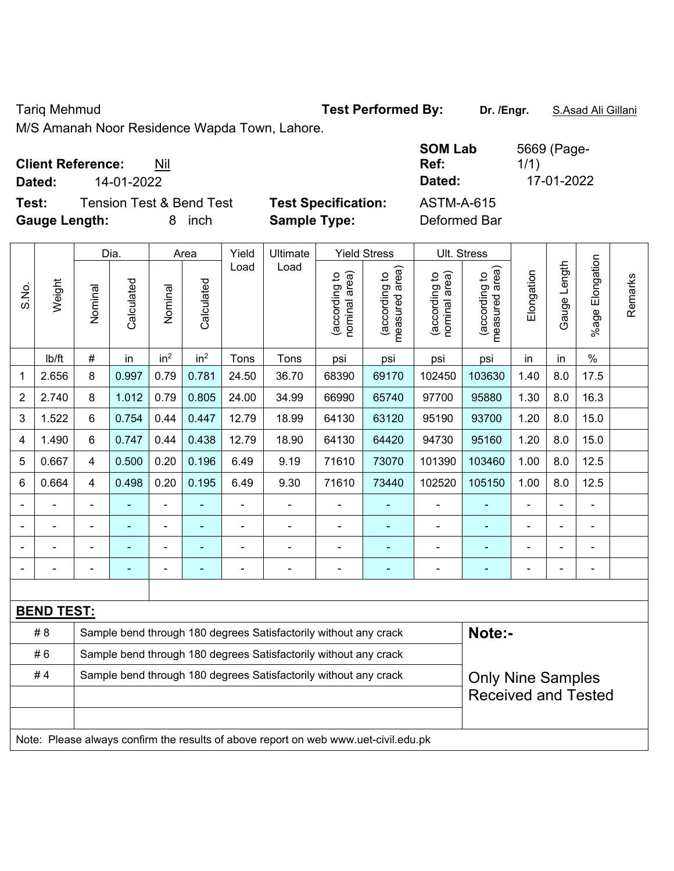### Tariq Mehmud **Test Performed By: Dr. /Engr.** S.Asad Ali Gillani

M/S Amanah Noor Residence Wapda Town, Lahore.

| <b>Client Reference:</b> | Nil |
|--------------------------|-----|
|--------------------------|-----|

**Dated:** 14-01-2022 **Dated:** 17-01-2022

**Test:** Tension Test & Bend Test **Test Specification: Gauge Length:** 8 inch **Sample Type:** Deformed Bar

| <b>SOM Lab</b><br>Ref: | 5669 (Page-<br>1/1) |
|------------------------|---------------------|
| Dated:                 | 17-01-2022          |
| ASTM-A-615             |                     |

|                |                   |                                                                  | Dia.       | <b>Yield Stress</b><br>Ult. Stress<br>Area<br>Yield<br>Ultimate |                          |                |                                                                                     |                                |                                 |                                |                                 |                          |                |                       |         |
|----------------|-------------------|------------------------------------------------------------------|------------|-----------------------------------------------------------------|--------------------------|----------------|-------------------------------------------------------------------------------------|--------------------------------|---------------------------------|--------------------------------|---------------------------------|--------------------------|----------------|-----------------------|---------|
| S.No.          | Weight            | Nominal                                                          | Calculated | Nominal                                                         | Calculated               | Load           | Load                                                                                | nominal area)<br>(according to | (according to<br>measured area) | nominal area)<br>(according to | (according to<br>measured area) | Elongation               | Gauge Length   | Elongation<br>$%$ age | Remarks |
|                | lb/ft             | $\#$                                                             | in         | in <sup>2</sup>                                                 | in <sup>2</sup>          | Tons           | Tons                                                                                | psi                            | psi                             | psi                            | psi                             | in                       | in             | $\%$                  |         |
| 1              | 2.656             | 8                                                                | 0.997      | 0.79                                                            | 0.781                    | 24.50          | 36.70                                                                               | 68390                          | 69170                           | 102450                         | 103630                          | 1.40                     | 8.0            | 17.5                  |         |
| $\overline{2}$ | 2.740             | 8                                                                | 1.012      | 0.79                                                            | 0.805                    | 24.00          | 34.99                                                                               | 66990                          | 65740                           | 97700                          | 95880                           | 1.30                     | 8.0            | 16.3                  |         |
| 3              | 1.522             | 6                                                                | 0.754      | 0.44                                                            | 0.447                    | 12.79          | 18.99                                                                               | 64130                          | 63120                           | 95190                          | 93700                           | 1.20                     | 8.0            | 15.0                  |         |
| 4              | 1.490             | 6                                                                | 0.747      | 0.44                                                            | 0.438                    | 12.79          | 18.90                                                                               | 64130                          | 64420                           | 94730                          | 95160                           | 1.20                     | 8.0            | 15.0                  |         |
| 5              | 0.667             | $\overline{4}$                                                   | 0.500      | 0.20                                                            | 0.196                    | 6.49           | 9.19                                                                                | 71610                          | 73070                           | 101390                         | 103460                          | 1.00                     | 8.0            | 12.5                  |         |
| 6              | 0.664             | 4                                                                | 0.498      | 0.20                                                            | 0.195                    | 6.49           | 9.30                                                                                | 71610                          | 73440                           | 102520                         | 105150                          | 1.00                     | 8.0            | 12.5                  |         |
|                |                   | $\blacksquare$                                                   | L,         | $\blacksquare$                                                  | $\blacksquare$           | $\blacksquare$ | $\blacksquare$                                                                      | $\blacksquare$                 | ä,                              | $\blacksquare$                 | ä,                              | ä,                       | $\blacksquare$ | $\overline{a}$        |         |
|                |                   |                                                                  |            |                                                                 |                          |                |                                                                                     | $\blacksquare$                 |                                 |                                |                                 |                          |                |                       |         |
|                |                   |                                                                  |            |                                                                 |                          |                |                                                                                     | ٠                              |                                 |                                |                                 |                          |                |                       |         |
|                |                   | $\blacksquare$                                                   |            | ۰                                                               | $\overline{\phantom{a}}$ |                | $\overline{\phantom{0}}$                                                            | $\overline{a}$                 | ۰                               | $\blacksquare$                 | ÷                               | -                        |                |                       |         |
|                |                   |                                                                  |            |                                                                 |                          |                |                                                                                     |                                |                                 |                                |                                 |                          |                |                       |         |
|                | <b>BEND TEST:</b> |                                                                  |            |                                                                 |                          |                |                                                                                     |                                |                                 |                                |                                 |                          |                |                       |         |
|                | #8                |                                                                  |            |                                                                 |                          |                | Sample bend through 180 degrees Satisfactorily without any crack                    |                                |                                 |                                | Note:-                          |                          |                |                       |         |
|                | #6                |                                                                  |            |                                                                 |                          |                | Sample bend through 180 degrees Satisfactorily without any crack                    |                                |                                 |                                |                                 |                          |                |                       |         |
|                | #4                | Sample bend through 180 degrees Satisfactorily without any crack |            |                                                                 |                          |                |                                                                                     |                                |                                 |                                |                                 | <b>Only Nine Samples</b> |                |                       |         |
|                |                   |                                                                  |            |                                                                 |                          |                |                                                                                     |                                |                                 |                                | <b>Received and Tested</b>      |                          |                |                       |         |
|                |                   |                                                                  |            |                                                                 |                          |                |                                                                                     |                                |                                 |                                |                                 |                          |                |                       |         |
|                |                   |                                                                  |            |                                                                 |                          |                | Note: Please always confirm the results of above report on web www.uet-civil.edu.pk |                                |                                 |                                |                                 |                          |                |                       |         |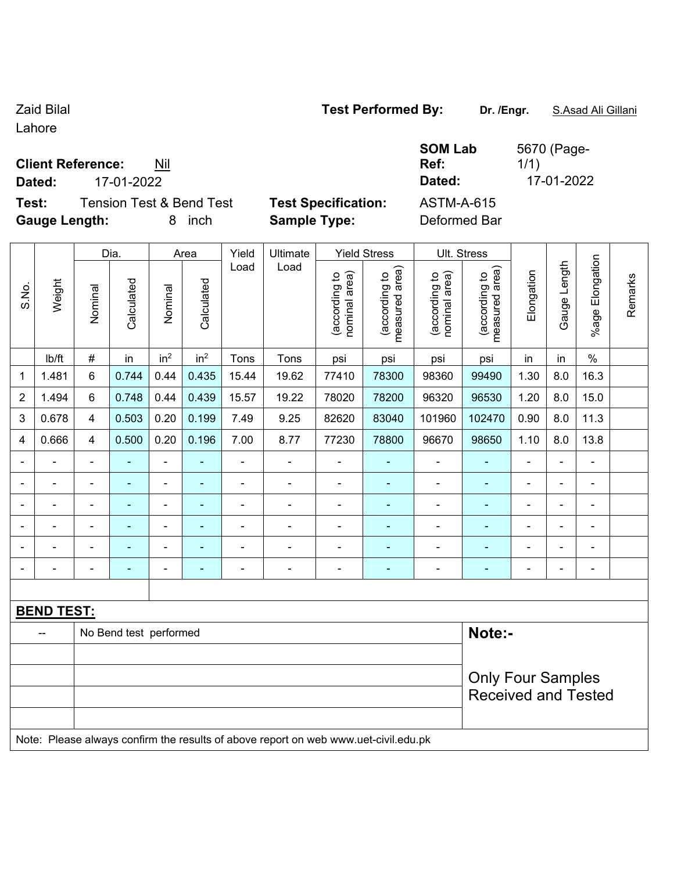$\blacksquare$ 

Lahore

### **Client Reference:** Nil

**Test:** Tension Test & Bend Test **Test Specification:** ASTM-A-615 **Gauge Length:** 8 inch **Sample Type:** Deformed Bar

 $\top$ 

 $\overline{\phantom{a}}$ 

 $\top$ 

| SOMLA |
|-------|
|       |
| __    |

**SOM Lab Ref:**  5670 (Page-1/1) **Dated:** 17-01-2022 **Dated:** 17-01-2022

 $\top$ 

 $\top$ 

|                |                   |                          | Dia.                   |                              | Area            |                | Yield<br>Ultimate                                                                   |                                | <b>Yield Stress</b>             |                                | Ult. Stress                     |                |                |                          |         |
|----------------|-------------------|--------------------------|------------------------|------------------------------|-----------------|----------------|-------------------------------------------------------------------------------------|--------------------------------|---------------------------------|--------------------------------|---------------------------------|----------------|----------------|--------------------------|---------|
| S.No.          | Weight            | Nominal                  | Calculated             | Nominal                      | Calculated      | Load           | Load                                                                                | nominal area)<br>(according to | (according to<br>measured area) | nominal area)<br>(according to | measured area)<br>(according to | Elongation     | Gauge Length   | %age Elongation          | Remarks |
|                | Ib/ft             | $\#$                     | in                     | in <sup>2</sup>              | in <sup>2</sup> | Tons           | Tons                                                                                | psi                            | psi                             | psi                            | psi                             | in             | in             | $\%$                     |         |
| 1              | 1.481             | 6                        | 0.744                  | 0.44                         | 0.435           | 15.44          | 19.62                                                                               | 77410                          | 78300                           | 98360                          | 99490                           | 1.30           | 8.0            | 16.3                     |         |
| 2              | 1.494             | 6                        | 0.748                  | 0.44                         | 0.439           | 15.57          | 19.22                                                                               | 78020                          | 78200                           | 96320                          | 96530                           | 1.20           | 8.0            | 15.0                     |         |
| 3              | 0.678             | 4                        | 0.503                  | 0.20                         | 0.199           | 7.49           | 9.25                                                                                | 82620                          | 83040                           | 101960                         | 102470                          | 0.90           | 8.0            | 11.3                     |         |
| 4              | 0.666             | $\overline{\mathbf{4}}$  | 0.500                  | 0.20                         | 0.196           | 7.00           | 8.77                                                                                | 77230                          | 78800                           | 96670                          | 98650                           | 1.10           | 8.0            | 13.8                     |         |
|                |                   | $\blacksquare$           | ä,                     | ä,                           | ä,              | $\blacksquare$ | $\blacksquare$                                                                      | $\blacksquare$                 | ۰                               | $\blacksquare$                 | ÷,                              | ä,             |                | $\blacksquare$           |         |
|                |                   |                          | $\blacksquare$         | $\blacksquare$               |                 |                | $\blacksquare$                                                                      | $\blacksquare$                 | ۰                               | $\blacksquare$                 | $\blacksquare$                  | $\blacksquare$ |                | $\blacksquare$           |         |
|                |                   | $\blacksquare$           |                        | ۰                            |                 |                | ÷                                                                                   | $\blacksquare$                 |                                 | $\blacksquare$                 |                                 | ۰              | $\blacksquare$ | $\blacksquare$           |         |
|                |                   | $\blacksquare$           | ÷                      | $\blacksquare$               |                 | $\blacksquare$ | $\blacksquare$                                                                      | $\blacksquare$                 |                                 | $\blacksquare$                 | $\blacksquare$                  | $\blacksquare$ | $\blacksquare$ | $\blacksquare$           |         |
|                |                   | $\blacksquare$           | ۰                      | $\overline{\phantom{a}}$     | ۰               | $\blacksquare$ | $\blacksquare$                                                                      | $\blacksquare$                 | ۰                               | $\blacksquare$                 | $\blacksquare$                  | $\blacksquare$ | $\blacksquare$ | $\blacksquare$           |         |
| $\blacksquare$ |                   | $\overline{\phantom{0}}$ | ۰                      | $\qquad \qquad \blacksquare$ | ۰               | $\blacksquare$ | $\overline{\phantom{0}}$                                                            | $\qquad \qquad \blacksquare$   | ۰                               | $\blacksquare$                 | $\blacksquare$                  | $\blacksquare$ | $\blacksquare$ | $\overline{\phantom{a}}$ |         |
|                |                   |                          |                        |                              |                 |                |                                                                                     |                                |                                 |                                |                                 |                |                |                          |         |
|                | <b>BEND TEST:</b> |                          |                        |                              |                 |                |                                                                                     |                                |                                 |                                |                                 |                |                |                          |         |
|                | $-$               |                          | No Bend test performed |                              |                 |                |                                                                                     |                                |                                 |                                | Note:-                          |                |                |                          |         |
|                |                   |                          |                        |                              |                 |                |                                                                                     |                                |                                 |                                |                                 |                |                |                          |         |
|                |                   |                          |                        |                              |                 |                |                                                                                     |                                |                                 |                                | <b>Only Four Samples</b>        |                |                |                          |         |
|                |                   |                          |                        |                              |                 |                |                                                                                     |                                |                                 |                                | <b>Received and Tested</b>      |                |                |                          |         |
|                |                   |                          |                        |                              |                 |                |                                                                                     |                                |                                 |                                |                                 |                |                |                          |         |
|                |                   |                          |                        |                              |                 |                | Note: Please always confirm the results of above report on web www.uet-civil.edu.pk |                                |                                 |                                |                                 |                |                |                          |         |

Zaid Bilal **Test Performed By: Dr. /Engr.** S.Asad Ali Gillani

 $\top$ 

 $\top$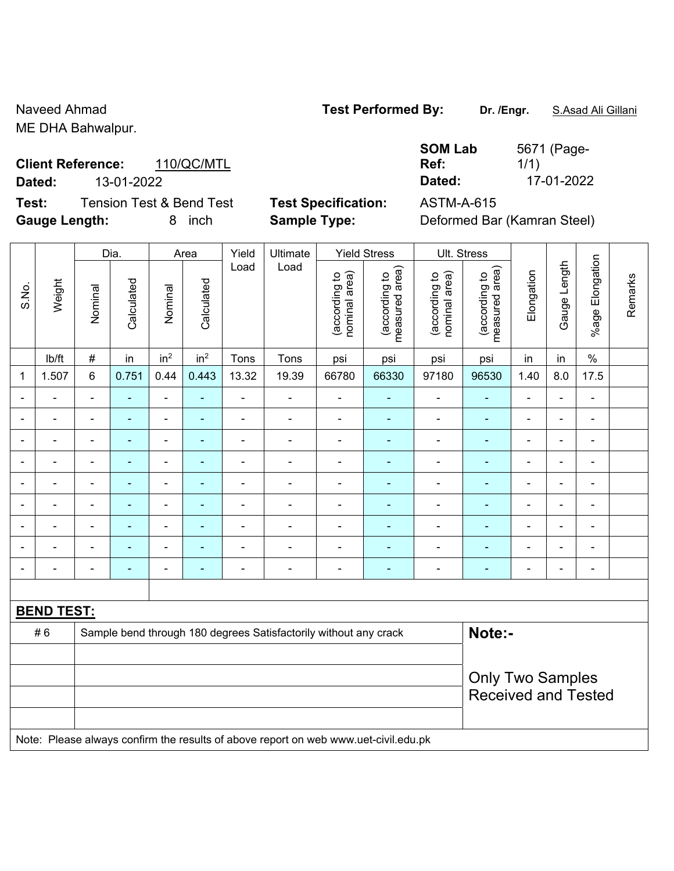### ME DHA Bahwalpur.

# **Client Reference:** 110/QC/MTL **Dated:** 13-01-2022 **Dated:** 17-01-2022

**Test:** Tension Test & Bend Test **Test Specification:** ASTM-A-615 **Gauge Length:** 8 inch **Sample Type:** Deformed Bar (Kamran Steel)

|              | Ref:   |
|--------------|--------|
|              | Dated: |
| `cificationم | ASTM-4 |

|                          |                   |                | Dia.       |                              | Area            | Yield          | Ultimate                                                                            |                                | <b>Yield Stress</b>             |                                | Ult. Stress                     |                |                |                          |         |
|--------------------------|-------------------|----------------|------------|------------------------------|-----------------|----------------|-------------------------------------------------------------------------------------|--------------------------------|---------------------------------|--------------------------------|---------------------------------|----------------|----------------|--------------------------|---------|
| S.No.                    | Weight            | Nominal        | Calculated | Nominal                      | Calculated      | Load           | Load                                                                                | (according to<br>nominal area) | (according to<br>measured area) | (according to<br>nominal area) | measured area)<br>(according to | Elongation     | Gauge Length   | Elongation<br>$%$ age I  | Remarks |
|                          | lb/ft             | $\#$           | in         | in <sup>2</sup>              | in <sup>2</sup> | Tons           | Tons                                                                                | psi                            | psi                             | psi                            | psi                             | in             | in             | $\%$                     |         |
| 1                        | 1.507             | $6\phantom{1}$ | 0.751      | 0.44                         | 0.443           | 13.32          | 19.39                                                                               | 66780                          | 66330                           | 97180                          | 96530                           | 1.40           | 8.0            | 17.5                     |         |
|                          |                   | $\blacksquare$ | ä,         | $\blacksquare$               | ä,              |                | $\blacksquare$                                                                      | $\blacksquare$                 | ۰                               | $\blacksquare$                 | $\blacksquare$                  | $\blacksquare$ |                |                          |         |
|                          |                   | $\blacksquare$ | ä,         | $\blacksquare$               |                 |                | $\blacksquare$                                                                      | $\blacksquare$                 |                                 | $\blacksquare$                 | $\blacksquare$                  |                |                | $\blacksquare$           |         |
| $\overline{\phantom{0}}$ |                   | $\blacksquare$ | ۰          | $\qquad \qquad \blacksquare$ | ۰               | $\blacksquare$ | $\overline{\phantom{a}}$                                                            | $\qquad \qquad \blacksquare$   | ۰                               | $\overline{\phantom{0}}$       | $\blacksquare$                  | ۰              | $\blacksquare$ | $\overline{\phantom{0}}$ |         |
| $\overline{\phantom{a}}$ |                   | $\blacksquare$ | ۰          | $\overline{\phantom{a}}$     | ۰               | $\blacksquare$ | $\blacksquare$                                                                      | $\overline{\phantom{a}}$       | ۰                               | $\blacksquare$                 | $\blacksquare$                  | ÷              | $\blacksquare$ | $\blacksquare$           |         |
| Ē,                       |                   | $\blacksquare$ | ÷,         | $\qquad \qquad \blacksquare$ | ÷               | $\blacksquare$ | $\blacksquare$                                                                      | $\blacksquare$                 | ÷                               | $\blacksquare$                 | $\blacksquare$                  | ÷,             | $\blacksquare$ | $\blacksquare$           |         |
| $\blacksquare$           |                   | $\blacksquare$ | ÷          | $\qquad \qquad \blacksquare$ | ۰               | $\blacksquare$ | $\blacksquare$                                                                      | $\blacksquare$                 | ۰                               | $\blacksquare$                 | $\blacksquare$                  | $\blacksquare$ |                | $\blacksquare$           |         |
|                          |                   |                |            | ۰                            |                 |                |                                                                                     |                                |                                 | $\blacksquare$                 | $\blacksquare$                  |                |                |                          |         |
|                          |                   |                |            | $\blacksquare$               |                 |                | $\blacksquare$                                                                      | $\blacksquare$                 |                                 | $\blacksquare$                 | $\blacksquare$                  | $\blacksquare$ |                |                          |         |
| $\blacksquare$           |                   |                | ä,         | $\blacksquare$               | ÷               | $\blacksquare$ | $\blacksquare$                                                                      | $\overline{\phantom{a}}$       | ۰                               | $\blacksquare$                 | $\blacksquare$                  | $\blacksquare$ |                | ä,                       |         |
|                          |                   |                |            |                              |                 |                |                                                                                     |                                |                                 |                                |                                 |                |                |                          |         |
|                          | <b>BEND TEST:</b> |                |            |                              |                 |                |                                                                                     |                                |                                 |                                |                                 |                |                |                          |         |
|                          | #6                |                |            |                              |                 |                | Sample bend through 180 degrees Satisfactorily without any crack                    |                                |                                 |                                | Note:-                          |                |                |                          |         |
|                          |                   |                |            |                              |                 |                |                                                                                     |                                |                                 |                                |                                 |                |                |                          |         |
|                          |                   |                |            |                              |                 |                | <b>Only Two Samples</b>                                                             |                                |                                 |                                |                                 |                |                |                          |         |
|                          |                   |                |            |                              |                 |                |                                                                                     |                                |                                 |                                | <b>Received and Tested</b>      |                |                |                          |         |
|                          |                   |                |            |                              |                 |                |                                                                                     |                                |                                 |                                |                                 |                |                |                          |         |
|                          |                   |                |            |                              |                 |                | Note: Please always confirm the results of above report on web www.uet-civil.edu.pk |                                |                                 |                                |                                 |                |                |                          |         |

## Naveed Ahmad **Test Performed By: Dr. /Engr.** S.Asad Ali Gillani

**SOM Lab** 

5671 (Page-

1/1)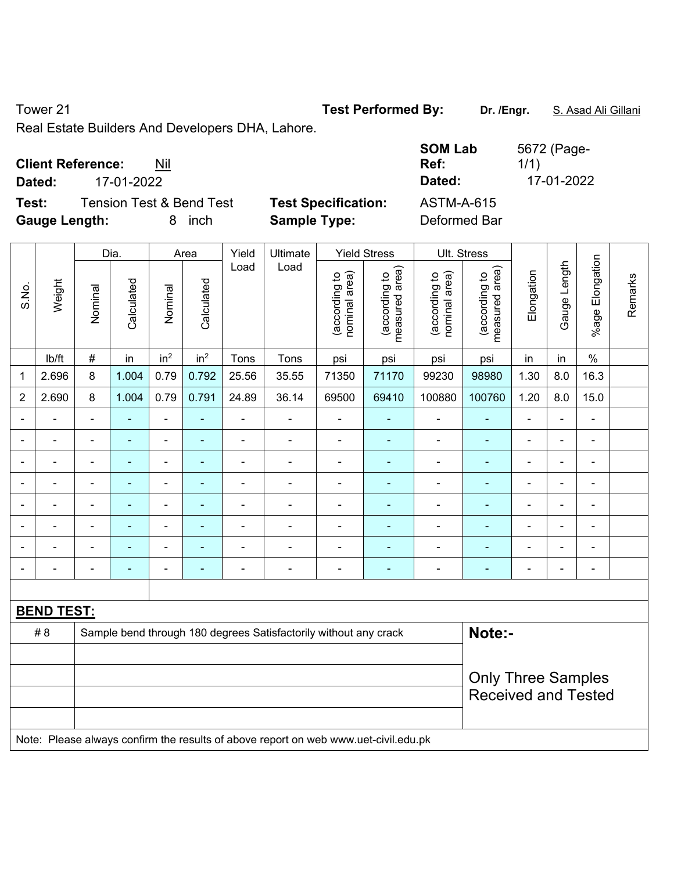Tower 21 **Test Performed By:** Dr. /Engr. **S. Asad Ali Gillani** 

Real Estate Builders And Developers DHA, Lahore.

| <b>Client Reference:</b><br>Nil<br>17-01-2022<br>Dated: |                            | <b>SOM Lab</b><br>Ref:<br>Dated: | 5672 (Page-<br>1/1)<br>17-01-2022 |
|---------------------------------------------------------|----------------------------|----------------------------------|-----------------------------------|
| Test:<br><b>Tension Test &amp; Bend Test</b>            | <b>Test Specification:</b> | <b>ASTM-A-615</b>                |                                   |
| <b>Gauge Length:</b><br>inch<br>8                       | <b>Sample Type:</b>        | Deformed Bar                     |                                   |

|                          |                   |                | Dia.           |                 | Area                      | Yield          | Ultimate                                                                            |                                | <b>Yield Stress</b>             |                                | Ult. Stress                     |                |                |                       |         |
|--------------------------|-------------------|----------------|----------------|-----------------|---------------------------|----------------|-------------------------------------------------------------------------------------|--------------------------------|---------------------------------|--------------------------------|---------------------------------|----------------|----------------|-----------------------|---------|
| S.No.                    | Weight            | Nominal        | Calculated     | Nominal         | Calculated                | Load           | Load                                                                                | nominal area)<br>(according to | (according to<br>measured area) | (according to<br>nominal area) | (according to<br>measured area) | Elongation     | Gauge Length   | Elongation<br>$%$ age | Remarks |
|                          | lb/ft             | $\#$           | in             | in <sup>2</sup> | in <sup>2</sup>           | Tons           | Tons                                                                                | psi                            | psi                             | psi                            | psi                             | in             | in             | $\%$                  |         |
| 1                        | 2.696             | 8              | 1.004          | 0.79            | 0.792                     | 25.56          | 35.55                                                                               | 71350                          | 71170                           | 99230                          | 98980                           | 1.30           | 8.0            | 16.3                  |         |
| $\overline{2}$           | 2.690             | 8              | 1.004          | 0.79            | 0.791                     | 24.89          | 36.14                                                                               | 69500                          | 69410                           | 100880                         | 100760                          | 1.20           | 8.0            | 15.0                  |         |
| $\blacksquare$           | $\blacksquare$    | $\blacksquare$ | $\blacksquare$ | ÷,              | ٠                         | ä,             | $\blacksquare$                                                                      | $\blacksquare$                 | ÷                               | $\blacksquare$                 | ÷                               | $\blacksquare$ | $\blacksquare$ | $\blacksquare$        |         |
| $\overline{\phantom{a}}$ | $\blacksquare$    | ä,             | $\blacksquare$ | ÷               | ÷                         | ä,             | $\blacksquare$                                                                      | $\blacksquare$                 | $\blacksquare$                  | $\blacksquare$                 | ٠                               | $\blacksquare$ | ä,             | $\blacksquare$        |         |
|                          | $\blacksquare$    | ä,             | $\blacksquare$ | ÷,              | ۰                         | $\blacksquare$ | ÷                                                                                   | $\blacksquare$                 | ÷                               | $\blacksquare$                 | $\qquad \qquad \blacksquare$    | ÷              |                | $\blacksquare$        |         |
| $\sim$                   | $\blacksquare$    | ä,             | $\blacksquare$ | ÷,              | $\blacksquare$            | $\blacksquare$ | ä,                                                                                  | $\blacksquare$                 | ÷                               | $\blacksquare$                 | $\blacksquare$                  | $\blacksquare$ |                | $\blacksquare$        |         |
|                          |                   | $\blacksquare$ | $\blacksquare$ | $\blacksquare$  |                           | $\blacksquare$ | $\blacksquare$                                                                      |                                | ۰                               | $\blacksquare$                 | ÷,                              |                |                | $\blacksquare$        |         |
|                          |                   |                |                | ۰               |                           | $\blacksquare$ | $\blacksquare$                                                                      |                                |                                 |                                |                                 |                |                | $\blacksquare$        |         |
|                          |                   | $\blacksquare$ |                | $\blacksquare$  |                           | $\blacksquare$ | $\blacksquare$                                                                      |                                | ۰                               |                                | ä,                              |                |                | $\blacksquare$        |         |
| $\blacksquare$           |                   | ä,             | $\blacksquare$ | $\blacksquare$  | ۰                         | $\blacksquare$ | $\overline{\phantom{a}}$                                                            | $\blacksquare$                 | ÷                               | $\blacksquare$                 | $\qquad \qquad \blacksquare$    | ÷              | L.             | $\blacksquare$        |         |
|                          |                   |                |                |                 |                           |                |                                                                                     |                                |                                 |                                |                                 |                |                |                       |         |
|                          | <b>BEND TEST:</b> |                |                |                 |                           |                |                                                                                     |                                |                                 |                                |                                 |                |                |                       |         |
|                          | # 8               |                |                |                 |                           |                | Sample bend through 180 degrees Satisfactorily without any crack                    |                                |                                 |                                | Note:-                          |                |                |                       |         |
|                          |                   |                |                |                 |                           |                |                                                                                     |                                |                                 |                                |                                 |                |                |                       |         |
|                          |                   |                |                |                 | <b>Only Three Samples</b> |                |                                                                                     |                                |                                 |                                |                                 |                |                |                       |         |
|                          |                   |                |                |                 |                           |                |                                                                                     |                                |                                 |                                | <b>Received and Tested</b>      |                |                |                       |         |
|                          |                   |                |                |                 |                           |                |                                                                                     |                                |                                 |                                |                                 |                |                |                       |         |
|                          |                   |                |                |                 |                           |                | Note: Please always confirm the results of above report on web www.uet-civil.edu.pk |                                |                                 |                                |                                 |                |                |                       |         |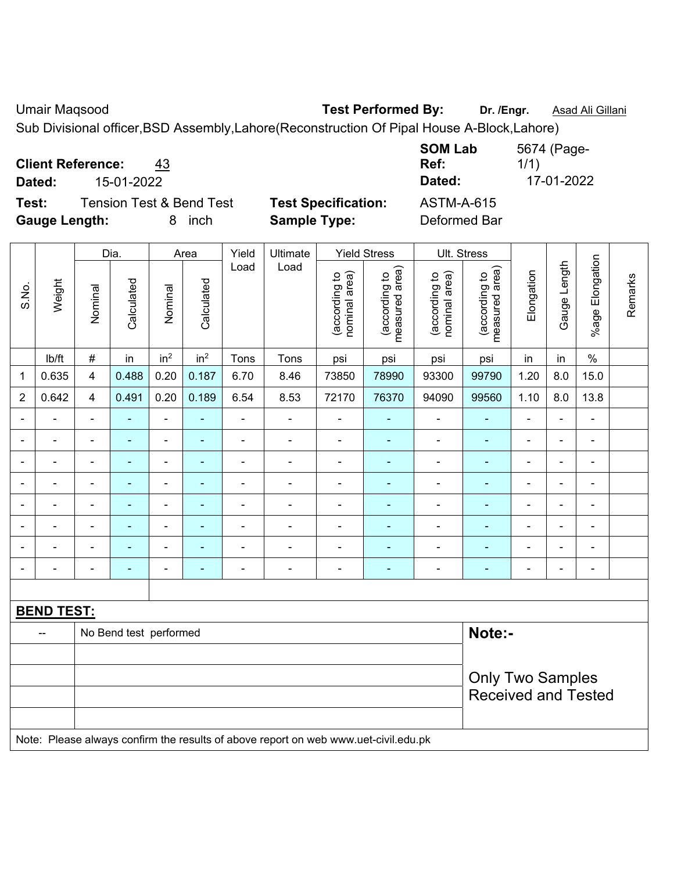Umair Maqsood **Test Performed By:** Dr. /Engr. **Asad Ali Gillani** 

Sub Divisional officer,BSD Assembly,Lahore(Reconstruction Of Pipal House A-Block,Lahore)

| <b>Client Reference:</b> |            | 43                       |                            | <b>SOM Lab</b><br>Ref: | 5674 (Page-<br>1/1) |
|--------------------------|------------|--------------------------|----------------------------|------------------------|---------------------|
| Dated:                   | 15-01-2022 |                          |                            | Dated:                 | 17-01-2022          |
| Test:                    |            | Tension Test & Bend Test | <b>Test Specification:</b> | <b>ASTM-A-615</b>      |                     |
| <b>Gauge Length:</b>     |            | inch                     | <b>Sample Type:</b>        | Deformed Bar           |                     |

|                |                   |                         | Dia.                    |                              | Area            | Yield          | Ultimate                                                                            |                                | <b>Yield Stress</b>             |                                | Ult. Stress                     |                          |                            |                              |         |  |
|----------------|-------------------|-------------------------|-------------------------|------------------------------|-----------------|----------------|-------------------------------------------------------------------------------------|--------------------------------|---------------------------------|--------------------------------|---------------------------------|--------------------------|----------------------------|------------------------------|---------|--|
| S.No.          | Weight            | Nominal                 | Calculated              | Nominal                      | Calculated      | Load           | Load                                                                                | nominal area)<br>(according to | (according to<br>measured area) | nominal area)<br>(according to | measured area)<br>(according to | Elongation               | Gauge Length               | %age Elongation              | Remarks |  |
|                | Ib/ft             | $\#$                    | in                      | in <sup>2</sup>              | in <sup>2</sup> | Tons           | Tons                                                                                | psi                            | psi                             | psi                            | psi                             | in                       | in                         | $\%$                         |         |  |
| $\mathbf 1$    | 0.635             | $\overline{4}$          | 0.488                   | 0.20                         | 0.187           | 6.70           | 8.46                                                                                | 73850                          | 78990                           | 93300                          | 99790                           | 1.20                     | 8.0                        | 15.0                         |         |  |
| $\overline{2}$ | 0.642             | $\overline{\mathbf{4}}$ | 0.491                   | 0.20                         | 0.189           | 6.54           | 8.53                                                                                | 72170                          | 76370                           | 94090                          | 99560                           | 1.10                     | 8.0                        | 13.8                         |         |  |
| $\blacksquare$ | $\blacksquare$    | $\blacksquare$          | $\blacksquare$          | $\qquad \qquad \blacksquare$ | ÷               | $\blacksquare$ | $\blacksquare$                                                                      | ÷,                             | $\blacksquare$                  | $\blacksquare$                 | $\blacksquare$                  | $\blacksquare$           | ÷,                         | $\overline{\phantom{a}}$     |         |  |
| $\blacksquare$ | $\blacksquare$    | $\blacksquare$          | $\blacksquare$          | $\overline{\phantom{a}}$     | $\overline{a}$  | $\blacksquare$ | $\blacksquare$                                                                      | $\overline{\phantom{a}}$       | $\blacksquare$                  | $\blacksquare$                 | $\blacksquare$                  | $\overline{\phantom{0}}$ | ÷                          | $\qquad \qquad \blacksquare$ |         |  |
| $\blacksquare$ | $\blacksquare$    | $\blacksquare$          | $\blacksquare$          | $\blacksquare$               | ÷               | $\blacksquare$ | $\blacksquare$                                                                      | $\blacksquare$                 | $\blacksquare$                  | ÷,                             | $\blacksquare$                  | $\blacksquare$           | ÷,                         | $\blacksquare$               |         |  |
|                | $\blacksquare$    | $\blacksquare$          | $\blacksquare$          | $\qquad \qquad \blacksquare$ | ٠               | $\blacksquare$ | $\blacksquare$                                                                      | $\blacksquare$                 | $\blacksquare$                  | $\blacksquare$                 | $\blacksquare$                  | ۳                        | ÷                          | $\blacksquare$               |         |  |
|                |                   | $\blacksquare$          | $\overline{a}$          | ä,                           |                 |                | $\blacksquare$                                                                      | $\blacksquare$                 | $\blacksquare$                  | $\blacksquare$                 | $\blacksquare$                  | ۳                        | $\blacksquare$             | $\blacksquare$               |         |  |
|                |                   | $\blacksquare$          |                         | $\blacksquare$               |                 |                |                                                                                     | $\overline{\phantom{a}}$       |                                 |                                |                                 |                          | ÷                          | $\blacksquare$               |         |  |
|                |                   |                         |                         | $\blacksquare$               |                 |                |                                                                                     | $\overline{\phantom{a}}$       | $\blacksquare$                  | $\blacksquare$                 |                                 |                          | ۰                          | $\blacksquare$               |         |  |
| $\blacksquare$ |                   | $\blacksquare$          | ۰                       | $\overline{\phantom{a}}$     | $\overline{a}$  | $\blacksquare$ | $\overline{\phantom{a}}$                                                            | $\blacksquare$                 | $\blacksquare$                  | ÷                              | $\blacksquare$                  | $\blacksquare$           | ÷                          | $\overline{\phantom{a}}$     |         |  |
|                |                   |                         |                         |                              |                 |                |                                                                                     |                                |                                 |                                |                                 |                          |                            |                              |         |  |
|                | <b>BEND TEST:</b> |                         |                         |                              |                 |                |                                                                                     |                                |                                 |                                |                                 |                          |                            |                              |         |  |
|                | $\overline{a}$    |                         | No Bend test performed  |                              |                 |                |                                                                                     |                                |                                 |                                | Note:-                          |                          |                            |                              |         |  |
|                |                   |                         |                         |                              |                 |                |                                                                                     |                                |                                 |                                |                                 |                          |                            |                              |         |  |
|                |                   |                         | <b>Only Two Samples</b> |                              |                 |                |                                                                                     |                                |                                 |                                |                                 |                          |                            |                              |         |  |
|                |                   |                         |                         |                              |                 |                |                                                                                     |                                |                                 |                                |                                 |                          | <b>Received and Tested</b> |                              |         |  |
|                |                   |                         |                         |                              |                 |                |                                                                                     |                                |                                 |                                |                                 |                          |                            |                              |         |  |
|                |                   |                         |                         |                              |                 |                | Note: Please always confirm the results of above report on web www.uet-civil.edu.pk |                                |                                 |                                |                                 |                          |                            |                              |         |  |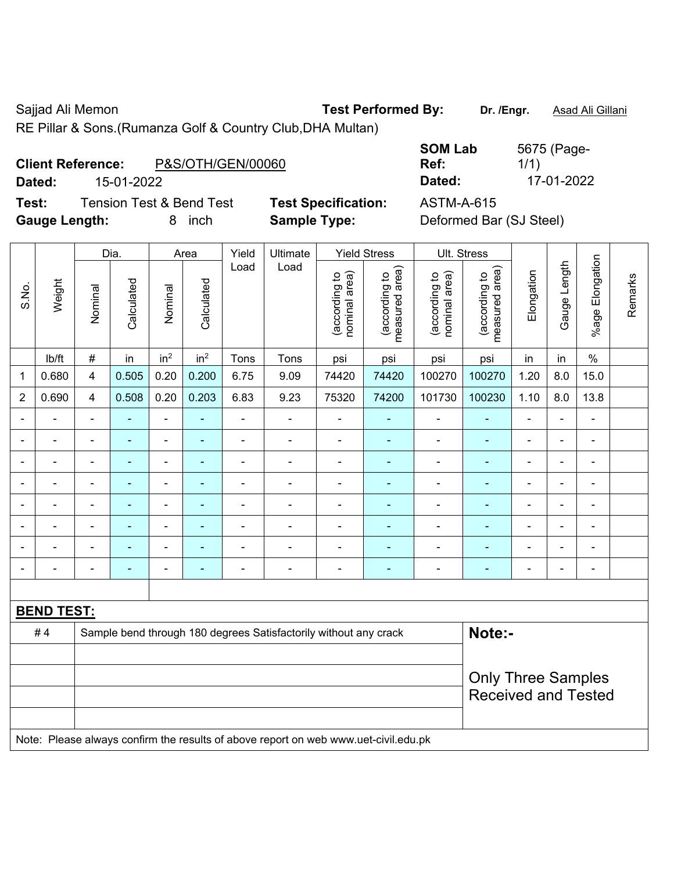Sajjad Ali Memon **Test Performed By:** Dr. /Engr. **Asad Ali Gillani** Cali Ali Gillani

RE Pillar & Sons.(Rumanza Golf & Country Club,DHA Multan)

| <b>Client Reference:</b> |            | P&S/OTH/GEN/00060 | Ref:   |            |
|--------------------------|------------|-------------------|--------|------------|
| Dated:                   | 15-01-2022 |                   | Dated: | 17-01-2022 |

**Test:** Tension Test & Bend Test **Test Specification:** ASTM-A-615 **Gauge Length:** 8 inch **Sample Type:** Deformed Bar (SJ Steel)

**SOM Lab Ref:**  5675 (Page-1/1)

|                          |                   | Dia.                       |                | Area                     |                          | Yield          | Ultimate                                                                            |                                 | <b>Yield Stress</b>            |                                 | Ult. Stress    |                |                          |                          |  |
|--------------------------|-------------------|----------------------------|----------------|--------------------------|--------------------------|----------------|-------------------------------------------------------------------------------------|---------------------------------|--------------------------------|---------------------------------|----------------|----------------|--------------------------|--------------------------|--|
| S.No.                    | Weight            | Nominal                    | Calculated     | Nominal                  | Calculated               | Load<br>Load   | (according to<br>nominal area)                                                      | (according to<br>measured area) | (according to<br>nominal area) | (according to<br>measured area) | Elongation     | Gauge Length   | %age Elongation          | Remarks                  |  |
|                          | Ib/ft             | $\#$                       | in             | in <sup>2</sup>          | in <sup>2</sup>          | Tons           | Tons                                                                                | psi                             | psi                            | psi                             | psi            | in             | in                       | $\%$                     |  |
| $\mathbf{1}$             | 0.680             | $\overline{4}$             | 0.505          | 0.20                     | 0.200                    | 6.75           | 9.09                                                                                | 74420                           | 74420                          | 100270                          | 100270         | 1.20           | 8.0                      | 15.0                     |  |
| $\overline{2}$           | 0.690             | $\overline{4}$             | 0.508          | 0.20                     | 0.203                    | 6.83           | 9.23                                                                                | 75320                           | 74200                          | 101730                          | 100230         | 1.10           | 8.0                      | 13.8                     |  |
|                          |                   | $\blacksquare$             |                | ä,                       | $\overline{\phantom{a}}$ | $\blacksquare$ | $\blacksquare$                                                                      | $\blacksquare$                  | ÷                              | ä,                              | $\blacksquare$ |                |                          | $\blacksquare$           |  |
| $\blacksquare$           | $\blacksquare$    | $\blacksquare$             | $\blacksquare$ | $\blacksquare$           | $\blacksquare$           | ä,             | $\blacksquare$                                                                      | $\blacksquare$                  | ÷,                             | $\blacksquare$                  | ä,             | $\blacksquare$ | $\overline{a}$           | $\blacksquare$           |  |
| $\overline{\phantom{0}}$ | $\blacksquare$    | $\blacksquare$             | $\blacksquare$ | $\overline{\phantom{a}}$ | $\blacksquare$           | $\blacksquare$ | $\frac{1}{2}$                                                                       | $\overline{\phantom{a}}$        | $\blacksquare$                 | $\overline{\phantom{a}}$        | ÷              | $\blacksquare$ | $\overline{\phantom{a}}$ | $\overline{\phantom{a}}$ |  |
|                          | $\blacksquare$    | $\blacksquare$             | $\blacksquare$ | $\blacksquare$           | $\overline{\phantom{a}}$ | $\blacksquare$ | ÷                                                                                   | $\blacksquare$                  | $\blacksquare$                 | ä,                              | ÷,             | $\blacksquare$ |                          | $\blacksquare$           |  |
|                          |                   | ä,                         | ä,             | $\blacksquare$           | $\blacksquare$           | ä,             | ä,                                                                                  | $\blacksquare$                  | ä,                             | ä,                              | ÷              |                | ä,                       | $\blacksquare$           |  |
|                          |                   |                            | ٠              | $\blacksquare$           |                          | $\blacksquare$ | ÷                                                                                   | $\blacksquare$                  | $\blacksquare$                 | ä,                              | $\blacksquare$ |                |                          | $\blacksquare$           |  |
|                          |                   |                            |                | $\blacksquare$           |                          |                | $\blacksquare$                                                                      | $\blacksquare$                  | ۰                              | $\blacksquare$                  | ۰              |                |                          | $\blacksquare$           |  |
|                          |                   | ۰                          | $\blacksquare$ | $\overline{\phantom{a}}$ | $\blacksquare$           | ٠              | ÷                                                                                   | $\overline{\phantom{a}}$        | ÷                              | $\overline{a}$                  | ÷              | $\blacksquare$ | $\blacksquare$           | $\blacksquare$           |  |
|                          |                   |                            |                |                          |                          |                |                                                                                     |                                 |                                |                                 |                |                |                          |                          |  |
|                          | <b>BEND TEST:</b> |                            |                |                          |                          |                |                                                                                     |                                 |                                |                                 |                |                |                          |                          |  |
|                          | #4                |                            |                |                          |                          |                | Sample bend through 180 degrees Satisfactorily without any crack                    |                                 |                                |                                 | Note:-         |                |                          |                          |  |
|                          |                   |                            |                |                          |                          |                |                                                                                     |                                 |                                |                                 |                |                |                          |                          |  |
|                          |                   | <b>Only Three Samples</b>  |                |                          |                          |                |                                                                                     |                                 |                                |                                 |                |                |                          |                          |  |
|                          |                   | <b>Received and Tested</b> |                |                          |                          |                |                                                                                     |                                 |                                |                                 |                |                |                          |                          |  |
|                          |                   |                            |                |                          |                          |                |                                                                                     |                                 |                                |                                 |                |                |                          |                          |  |
|                          |                   |                            |                |                          |                          |                | Note: Please always confirm the results of above report on web www.uet-civil.edu.pk |                                 |                                |                                 |                |                |                          |                          |  |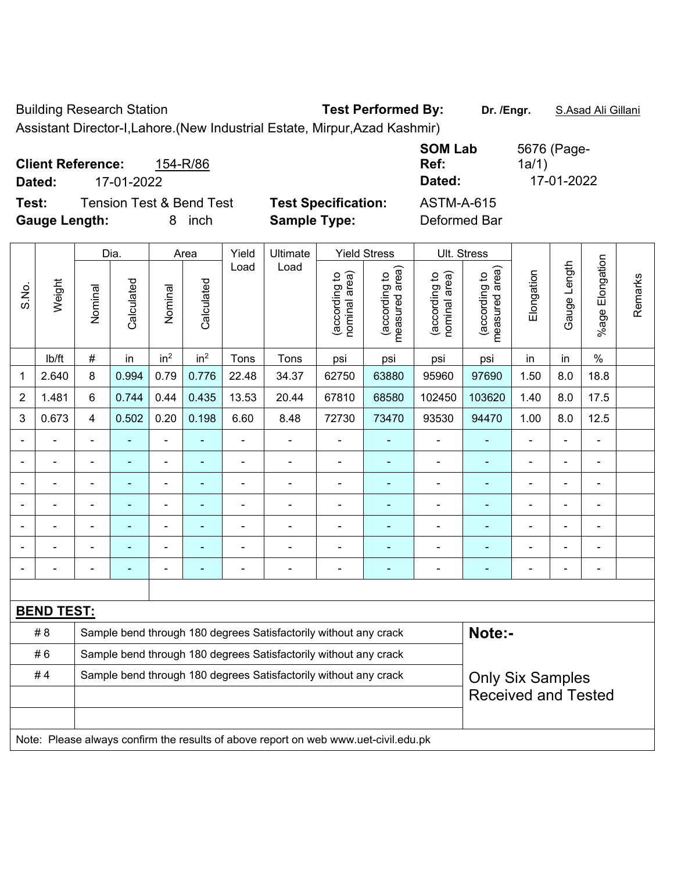Building Research Station **Test Performed By:** Dr. /Engr. **S.Asad Ali Gillani** 

Assistant Director-I,Lahore.(New Industrial Estate, Mirpur,Azad Kashmir)

| <b>Client Reference:</b><br>154-R/86<br>17-01-2022<br>Dated: |                            | <b>SOM Lab</b><br>Ref:<br>Dated: | 5676 (Page-<br>1a/1)<br>17-01-2022 |
|--------------------------------------------------------------|----------------------------|----------------------------------|------------------------------------|
| Test:<br><b>Tension Test &amp; Bend Test</b>                 | <b>Test Specification:</b> | <b>ASTM-A-615</b>                |                                    |
| <b>Gauge Length:</b><br>inch                                 | <b>Sample Type:</b>        | Deformed Bar                     |                                    |

|                | Weight            |                | Dia.                     |                 | Area                     |                | Ultimate                                                                            |                                | <b>Yield Stress</b>             |                                | Ult. Stress                                 |                |                |                          |         |
|----------------|-------------------|----------------|--------------------------|-----------------|--------------------------|----------------|-------------------------------------------------------------------------------------|--------------------------------|---------------------------------|--------------------------------|---------------------------------------------|----------------|----------------|--------------------------|---------|
| S.No.          |                   | Nominal        | Calculated               | Nominal         | Calculated               | Load           | Load                                                                                | nominal area)<br>(according to | (according to<br>measured area) | nominal area)<br>(according to | (according to<br>neasured area)<br>measured | Elongation     | Gauge Length   | Elongation<br>$%$ age    | Remarks |
|                | lb/ft             | $\#$           | in                       | in <sup>2</sup> | in <sup>2</sup>          | Tons           | Tons                                                                                | psi                            | psi                             | psi                            | psi                                         | in             | in             | $\%$                     |         |
| 1              | 2.640             | 8              | 0.994                    | 0.79            | 0.776                    | 22.48          | 34.37                                                                               | 62750                          | 63880                           | 95960                          | 97690                                       | 1.50           | 8.0            | 18.8                     |         |
| $\overline{2}$ | 1.481             | 6              | 0.744                    | 0.44            | 0.435                    | 13.53          | 20.44                                                                               | 67810                          | 68580                           | 102450                         | 103620                                      | 1.40           | 8.0            | 17.5                     |         |
| 3              | 0.673             | $\overline{4}$ | 0.502                    | 0.20            | 0.198                    | 6.60           | 8.48                                                                                | 72730                          | 73470                           | 93530                          | 94470                                       | 1.00           | 8.0            | 12.5                     |         |
| $\blacksquare$ | ÷                 | $\blacksquare$ | ä,                       | $\blacksquare$  | ÷,                       | ä,             | $\blacksquare$                                                                      | $\blacksquare$                 | $\blacksquare$                  | ä,                             | ä,                                          | L,             | L,             | $\overline{\phantom{a}}$ |         |
|                | -                 |                | $\overline{\phantom{0}}$ | $\blacksquare$  | $\blacksquare$           | $\blacksquare$ | $\blacksquare$                                                                      | $\blacksquare$                 | $\blacksquare$                  | $\blacksquare$                 | $\blacksquare$                              | $\blacksquare$ | $\overline{a}$ | ÷                        |         |
|                | $\blacksquare$    |                | $\blacksquare$           | $\blacksquare$  | ۰                        | $\blacksquare$ | $\blacksquare$                                                                      | $\blacksquare$                 | $\blacksquare$                  |                                | L,                                          | ä,             | ä,             | ä,                       |         |
| $\blacksquare$ | ÷                 | $\blacksquare$ | $\blacksquare$           | $\blacksquare$  | ÷                        | $\blacksquare$ | $\blacksquare$                                                                      | $\blacksquare$                 | ٠                               | ä,                             | $\blacksquare$                              | ä,             | L,             | $\overline{\phantom{a}}$ |         |
|                |                   |                | $\blacksquare$           | $\blacksquare$  | $\blacksquare$           | $\blacksquare$ | i.                                                                                  | $\blacksquare$                 |                                 |                                | $\overline{\phantom{a}}$                    |                | L,             | $\blacksquare$           |         |
|                |                   |                |                          |                 |                          |                |                                                                                     |                                |                                 |                                |                                             |                |                |                          |         |
| $\blacksquare$ |                   |                | ٠                        | $\blacksquare$  | $\overline{\phantom{0}}$ | $\blacksquare$ | $\overline{\phantom{0}}$                                                            | $\blacksquare$                 | ٠                               |                                | ۰                                           | ä,             | $\blacksquare$ | $\blacksquare$           |         |
|                |                   |                |                          |                 |                          |                |                                                                                     |                                |                                 |                                |                                             |                |                |                          |         |
|                | <b>BEND TEST:</b> |                |                          |                 |                          |                |                                                                                     |                                |                                 |                                |                                             |                |                |                          |         |
|                | # 8               |                |                          |                 |                          |                | Sample bend through 180 degrees Satisfactorily without any crack                    |                                |                                 |                                | Note:-                                      |                |                |                          |         |
|                | #6                |                |                          |                 |                          |                | Sample bend through 180 degrees Satisfactorily without any crack                    |                                |                                 |                                |                                             |                |                |                          |         |
|                | #4                |                |                          |                 |                          |                | Sample bend through 180 degrees Satisfactorily without any crack                    |                                |                                 |                                | <b>Only Six Samples</b>                     |                |                |                          |         |
|                |                   |                |                          |                 |                          |                |                                                                                     |                                |                                 |                                | <b>Received and Tested</b>                  |                |                |                          |         |
|                |                   |                |                          |                 |                          |                |                                                                                     |                                |                                 |                                |                                             |                |                |                          |         |
|                |                   |                |                          |                 |                          |                | Note: Please always confirm the results of above report on web www.uet-civil.edu.pk |                                |                                 |                                |                                             |                |                |                          |         |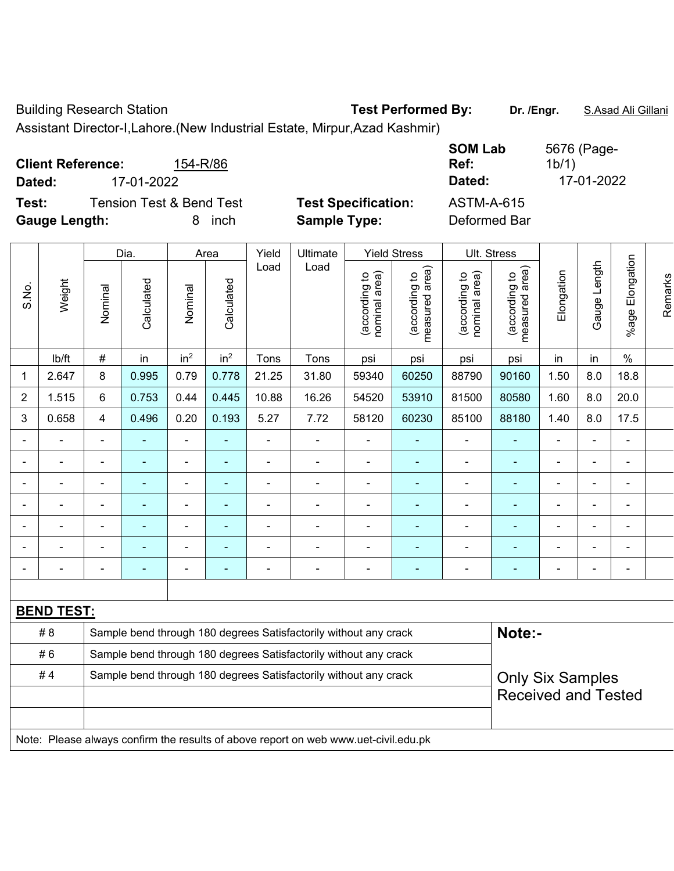Building Research Station **Test Performed By:** Dr. /Engr. **S.Asad Ali Gillani** 

Assistant Director-I,Lahore.(New Industrial Estate, Mirpur,Azad Kashmir)

| <b>Client Reference:</b> |                                     | 154-R/86 |              |                            | Ref: | <b>SOM Lab</b>    | 5676 (Page-<br>1b/1) |
|--------------------------|-------------------------------------|----------|--------------|----------------------------|------|-------------------|----------------------|
| Dated:                   | 17-01-2022                          |          |              |                            |      | Dated:            | 17-01-2022           |
| Test:                    | <b>Tension Test &amp; Bend Test</b> |          |              | <b>Test Specification:</b> |      | <b>ASTM-A-615</b> |                      |
| <b>Gauge Length:</b>     |                                     |          | <i>i</i> nch | <b>Sample Type:</b>        |      | Deformed Bar      |                      |

|                |                          | Dia.                         |                                                                  | Area            |                 | Yield          | Ultimate                                                         |                                | <b>Yield Stress</b>             |                                | Ult. Stress                     |                          |                |                              |         |
|----------------|--------------------------|------------------------------|------------------------------------------------------------------|-----------------|-----------------|----------------|------------------------------------------------------------------|--------------------------------|---------------------------------|--------------------------------|---------------------------------|--------------------------|----------------|------------------------------|---------|
| S.No.          | Weight                   | Nominal                      | Calculated                                                       | Nominal         | Calculated      | Load           | Load                                                             | nominal area)<br>(according to | measured area)<br>(according to | (according to<br>nominal area) | measured area)<br>(according to | Elongation               | Gauge Length   | %age Elongation              | Remarks |
|                | lb/ft                    | $\#$                         | in                                                               | in <sup>2</sup> | in <sup>2</sup> | Tons           | Tons                                                             | psi                            | psi                             | psi                            | psi                             | in                       | in             | $\%$                         |         |
| 1              | 2.647                    | 8                            | 0.995                                                            | 0.79            | 0.778           | 21.25          | 31.80                                                            | 59340                          | 60250                           | 88790                          | 90160                           | 1.50                     | 8.0            | 18.8                         |         |
| $\overline{2}$ | 1.515                    | 6                            | 0.753                                                            | 0.44            | 0.445           | 10.88          | 16.26                                                            | 54520                          | 53910                           | 81500                          | 80580                           | 1.60                     | 8.0            | 20.0                         |         |
| 3              | 0.658                    | $\overline{4}$               | 0.496                                                            | 0.20            | 0.193           | 5.27           | 7.72                                                             | 58120                          | 60230                           | 85100                          | 88180                           | 1.40                     | 8.0            | 17.5                         |         |
| $\blacksquare$ | -                        | ۰                            |                                                                  | Ξ.              | $\blacksquare$  | $\blacksquare$ | $\blacksquare$                                                   | $\blacksquare$                 | ٠                               | $\blacksquare$                 | ۰                               | Ξ.                       | Ξ.             | $\blacksquare$               |         |
| $\blacksquare$ | $\overline{\phantom{0}}$ | $\overline{a}$               |                                                                  | Ξ.              | ۰               | $\blacksquare$ |                                                                  | $\blacksquare$                 | ۰                               | -                              |                                 | ۰                        | -              | $\qquad \qquad \blacksquare$ |         |
|                |                          | ۰                            |                                                                  | ۰               |                 |                |                                                                  | $\blacksquare$                 |                                 | $\overline{a}$                 |                                 |                          | $\blacksquare$ |                              |         |
|                |                          | ۰                            |                                                                  | ۰               |                 |                |                                                                  | $\blacksquare$                 | ۰                               | $\blacksquare$                 | ۰                               | -                        | $\blacksquare$ | ۰                            |         |
| $\blacksquare$ |                          | $\blacksquare$               | $\blacksquare$                                                   | $\blacksquare$  | ÷,              | $\blacksquare$ | $\blacksquare$                                                   | $\blacksquare$                 | ۰                               | $\blacksquare$                 | ٠                               | $\blacksquare$           | $\blacksquare$ | ۰                            |         |
|                |                          | $\qquad \qquad \blacksquare$ |                                                                  | Ξ.              | ۰               |                |                                                                  | $\qquad \qquad \blacksquare$   | ۰                               | $\blacksquare$                 | ٠                               |                          | $\blacksquare$ | ۰                            |         |
| $\blacksquare$ |                          | $\blacksquare$               | $\blacksquare$                                                   | ۰               | ۰               | $\blacksquare$ | $\blacksquare$                                                   | $\blacksquare$                 | $\overline{\phantom{0}}$        | $\blacksquare$                 | ٠                               | $\overline{\phantom{0}}$ | ۰              | $\blacksquare$               |         |
|                |                          |                              |                                                                  |                 |                 |                |                                                                  |                                |                                 |                                |                                 |                          |                |                              |         |
|                | <b>BEND TEST:</b>        |                              |                                                                  |                 |                 |                |                                                                  |                                |                                 |                                |                                 |                          |                |                              |         |
|                | #8                       |                              |                                                                  |                 |                 |                | Sample bend through 180 degrees Satisfactorily without any crack |                                |                                 |                                | Note:-                          |                          |                |                              |         |
|                | #6                       |                              | Sample bend through 180 degrees Satisfactorily without any crack |                 |                 |                |                                                                  |                                |                                 |                                |                                 |                          |                |                              |         |

| $\pi \circ$<br>#4 | <u>Cample being unbught too gegrees Causiacionity without any crack</u><br>Sample bend through 180 degrees Satisfactorily without any crack | <b>Only Six Samples</b>    |
|-------------------|---------------------------------------------------------------------------------------------------------------------------------------------|----------------------------|
|                   |                                                                                                                                             | <b>Received and Tested</b> |
|                   |                                                                                                                                             |                            |
|                   |                                                                                                                                             |                            |

Note: Please always confirm the results of above report on web www.uet-civil.edu.pk